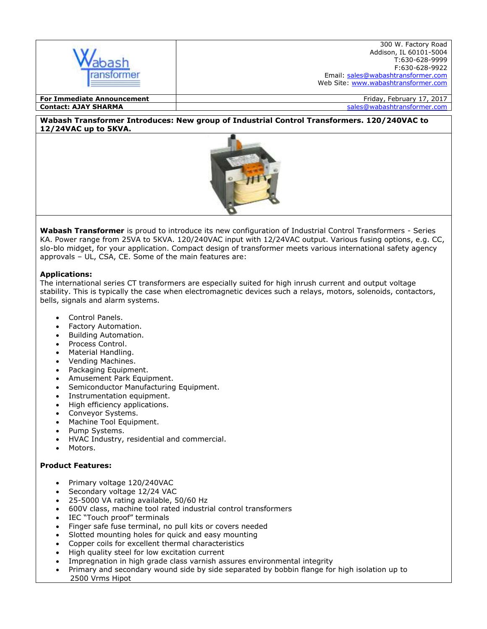

**Contact: AJAY SHARMA** sales@wabashtransformer.com

### **Wabash Transformer Introduces: New group of Industrial Control Transformers. 120/240VAC to 12/24VAC up to 5KVA.**



**Wabash Transformer** is proud to introduce its new configuration of Industrial Control Transformers - Series KA. Power range from 25VA to 5KVA. 120/240VAC input with 12/24VAC output. Various fusing options, e.g. CC, slo-blo midget, for your application. Compact design of transformer meets various international safety agency approvals – UL, CSA, CE. Some of the main features are:

# **Applications:**

The international series CT transformers are especially suited for high inrush current and output voltage stability. This is typically the case when electromagnetic devices such a relays, motors, solenoids, contactors, bells, signals and alarm systems.

- Control Panels.
- Factory Automation.
- Building Automation.
- Process Control.
- Material Handling.
- Vending Machines.
- Packaging Equipment.
- Amusement Park Equipment.
- Semiconductor Manufacturing Equipment.
- Instrumentation equipment.
- High efficiency applications.
- Conveyor Systems.
- Machine Tool Equipment.
- Pump Systems.
- HVAC Industry, residential and commercial.
- Motors.

# **Product Features:**

- Primary voltage 120/240VAC
- Secondary voltage 12/24 VAC
- 25-5000 VA rating available, 50/60 Hz
- 600V class, machine tool rated industrial control transformers
- IEC "Touch proof" terminals
- Finger safe fuse terminal, no pull kits or covers needed
- Slotted mounting holes for quick and easy mounting
- Copper coils for excellent thermal characteristics
- High quality steel for low excitation current
- Impregnation in high grade class varnish assures environmental integrity
- Primary and secondary wound side by side separated by bobbin flange for high isolation up to 2500 Vrms Hipot